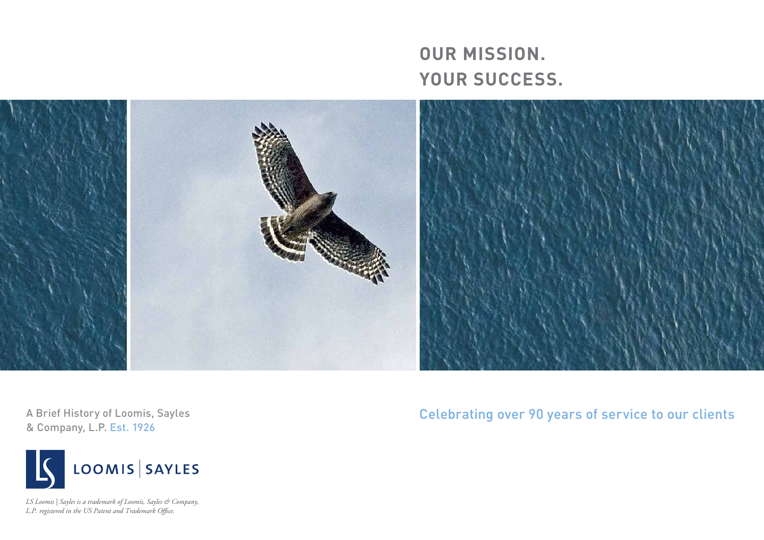**OUR MISSION. YOUR SUCCESS.**



A Brief History of Loomis, Sayles & Company, L.P. Est. 1926



*LS Loomis | Sayles is a trademark of Loomis, Sayles & Company, L.P. registered in the US Patent and Trademark Office.*

Celebrating over 90 years of service to our clients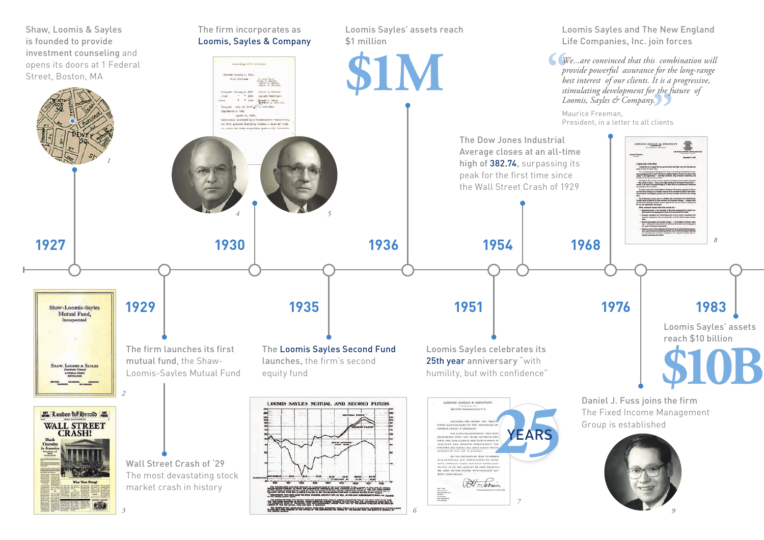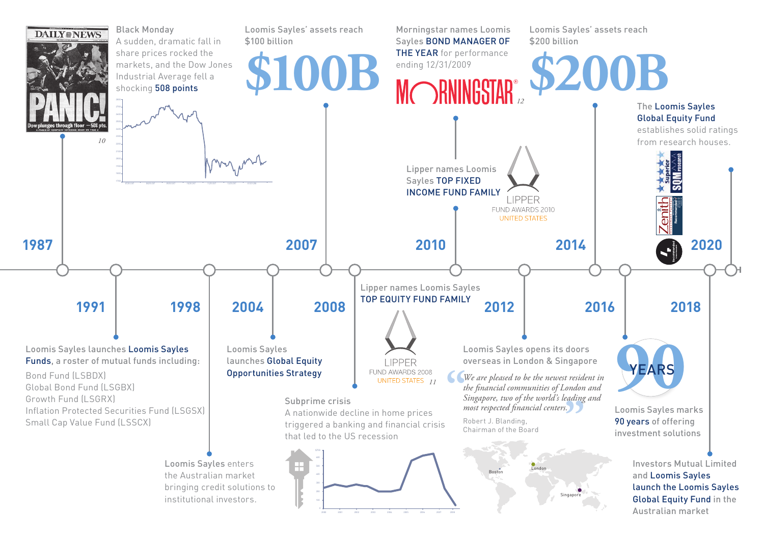